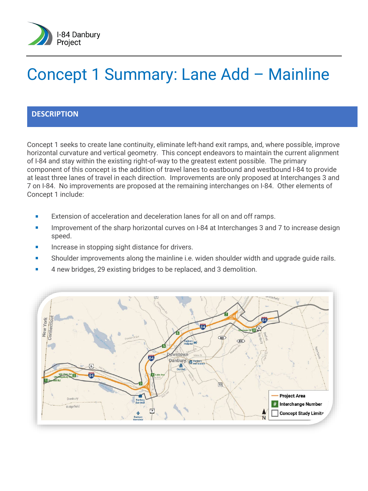

# Concept 1 Summary: Lane Add – Mainline

### **DESCRIPTION**

Concept 1 seeks to create lane continuity, eliminate left-hand exit ramps, and, where possible, improve horizontal curvature and vertical geometry. This concept endeavors to maintain the current alignment of I-84 and stay within the existing right-of-way to the greatest extent possible. The primary component of this concept is the addition of travel lanes to eastbound and westbound I-84 to provide at least three lanes of travel in each direction. Improvements are only proposed at Interchanges 3 and 7 on I-84. No improvements are proposed at the remaining interchanges on I-84. Other elements of Concept 1 include:

- **EXTER** Extension of acceleration and deceleration lanes for all on and off ramps.
- **IMPRO** Improvement of the sharp horizontal curves on I-84 at Interchanges 3 and 7 to increase design speed.
- **Increase in stopping sight distance for drivers.**
- **Shoulder improvements along the mainline i.e. widen shoulder width and upgrade quide rails.**
- 4 new bridges, 29 existing bridges to be replaced, and 3 demolition.